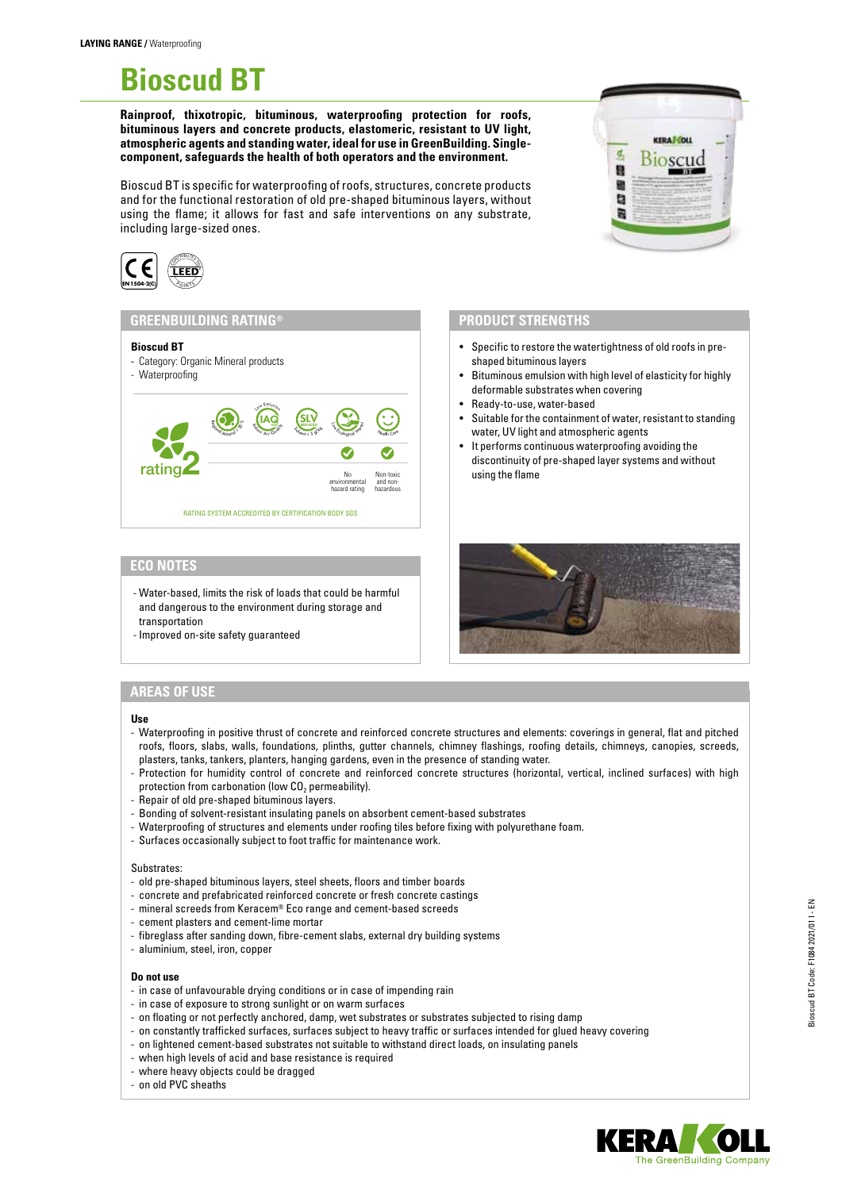# **Bioscud BT**

**Rainproof, thixotropic, bituminous, waterproofing protection for roofs, bituminous layers and concrete products, elastomeric, resistant to UV light, atmospheric agents and standing water, ideal for use in GreenBuilding. Singlecomponent, safeguards the health of both operators and the environment.**

Bioscud BT is specific for waterproofing of roofs, structures, concrete products and for the functional restoration of old pre-shaped bituminous layers, without using the flame; it allows for fast and safe interventions on any substrate, including large-sized ones.



### **GREENBUILDING RATING®**

#### **Bioscud BT**



## **ECO NOTES**

- Water-based, limits the risk of loads that could be harmful and dangerous to the environment during storage and transportation

- Improved on-site safety guaranteed

# **PRODUCT STRENGTHS**

• Specific to restore the watertightness of old roofs in preshaped bituminous layers

**KEDA LONE** 

g b

- Bituminous emulsion with high level of elasticity for highly deformable substrates when covering
- Ready-to-use, water-based
- Suitable for the containment of water, resistant to standing water, UV light and atmospheric agents
- It performs continuous waterproofing avoiding the discontinuity of pre-shaped layer systems and without using the flame



## **AREAS OF USE**

**Use**

- Waterproofing in positive thrust of concrete and reinforced concrete structures and elements: coverings in general, flat and pitched roofs, floors, slabs, walls, foundations, plinths, gutter channels, chimney flashings, roofing details, chimneys, canopies, screeds, plasters, tanks, tankers, planters, hanging gardens, even in the presence of standing water.
- Protection for humidity control of concrete and reinforced concrete structures (horizontal, vertical, inclined surfaces) with high protection from carbonation (low  $CO<sub>2</sub>$  permeability).
- Repair of old pre-shaped bituminous layers.
- Bonding of solvent-resistant insulating panels on absorbent cement-based substrates
- Waterproofing of structures and elements under roofing tiles before fixing with polyurethane foam.
- Surfaces occasionally subject to foot traffic for maintenance work.

#### Substrates:

- old pre-shaped bituminous layers, steel sheets, floors and timber boards
- concrete and prefabricated reinforced concrete or fresh concrete castings
- mineral screeds from Keracem® Eco range and cement-based screeds
- cement plasters and cement-lime mortar
- fibreglass after sanding down, fibre-cement slabs, external dry building systems
- aluminium, steel, iron, copper

#### **Do not use**

- in case of unfavourable drying conditions or in case of impending rain
- in case of exposure to strong sunlight or on warm surfaces
- on floating or not perfectly anchored, damp, wet substrates or substrates subjected to rising damp
- on constantly trafficked surfaces, surfaces subject to heavy traffic or surfaces intended for glued heavy covering
- on lightened cement-based substrates not suitable to withstand direct loads, on insulating panels
- when high levels of acid and base resistance is required
- where heavy objects could be dragged
- on old PVC sheaths

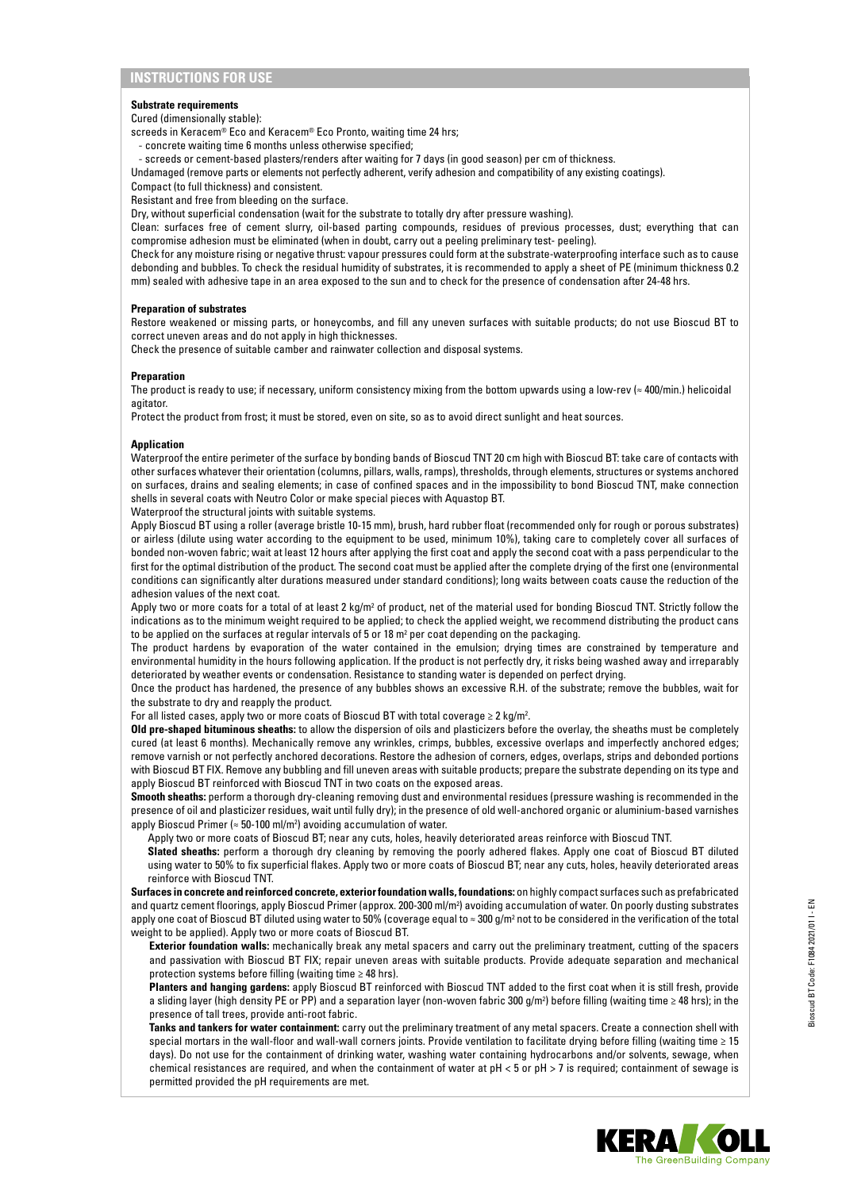#### **Substrate requirements**

Cured (dimensionally stable):

- screeds in Keracem® Eco and Keracem® Eco Pronto, waiting time 24 hrs;
	- concrete waiting time 6 months unless otherwise specified;

- screeds or cement-based plasters/renders after waiting for 7 days (in good season) per cm of thickness.

Undamaged (remove parts or elements not perfectly adherent, verify adhesion and compatibility of any existing coatings).

Compact (to full thickness) and consistent.

Resistant and free from bleeding on the surface.

Dry, without superficial condensation (wait for the substrate to totally dry after pressure washing).

Clean: surfaces free of cement slurry, oil-based parting compounds, residues of previous processes, dust; everything that can compromise adhesion must be eliminated (when in doubt, carry out a peeling preliminary test- peeling).

Check for any moisture rising or negative thrust: vapour pressures could form at the substrate-waterproofing interface such as to cause debonding and bubbles. To check the residual humidity of substrates, it is recommended to apply a sheet of PE (minimum thickness 0.2 mm) sealed with adhesive tape in an area exposed to the sun and to check for the presence of condensation after 24-48 hrs.

#### **Preparation of substrates**

Restore weakened or missing parts, or honeycombs, and fill any uneven surfaces with suitable products; do not use Bioscud BT to correct uneven areas and do not apply in high thicknesses.

Check the presence of suitable camber and rainwater collection and disposal systems.

#### **Preparation**

The product is ready to use; if necessary, uniform consistency mixing from the bottom upwards using a low-rey (≈ 400/min.) helicoidal agitator.

Protect the product from frost; it must be stored, even on site, so as to avoid direct sunlight and heat sources.

#### **Application**

Waterproof the entire perimeter of the surface by bonding bands of Bioscud TNT 20 cm high with Bioscud BT: take care of contacts with other surfaces whatever their orientation (columns, pillars, walls, ramps), thresholds, through elements, structures or systems anchored on surfaces, drains and sealing elements; in case of confined spaces and in the impossibility to bond Bioscud TNT, make connection shells in several coats with Neutro Color or make special pieces with Aquastop BT.

Waterproof the structural joints with suitable systems.

Apply Bioscud BT using a roller (average bristle 10-15 mm), brush, hard rubber float (recommended only for rough or porous substrates) or airless (dilute using water according to the equipment to be used, minimum 10%), taking care to completely cover all surfaces of bonded non-woven fabric; wait at least 12 hours after applying the first coat and apply the second coat with a pass perpendicular to the first for the optimal distribution of the product. The second coat must be applied after the complete drying of the first one (environmental conditions can significantly alter durations measured under standard conditions); long waits between coats cause the reduction of the adhesion values of the next coat.

Apply two or more coats for a total of at least 2 kg/m<sup>2</sup> of product, net of the material used for bonding Bioscud TNT. Strictly follow the indications as to the minimum weight required to be applied; to check the applied weight, we recommend distributing the product cans to be applied on the surfaces at regular intervals of 5 or 18 m² per coat depending on the packaging.

The product hardens by evaporation of the water contained in the emulsion; drying times are constrained by temperature and environmental humidity in the hours following application. If the product is not perfectly dry, it risks being washed away and irreparably deteriorated by weather events or condensation. Resistance to standing water is depended on perfect drying.

Once the product has hardened, the presence of any bubbles shows an excessive R.H. of the substrate; remove the bubbles, wait for the substrate to dry and reapply the product.

For all listed cases, apply two or more coats of Bioscud BT with total coverage  $\geq 2$  kg/m<sup>2</sup>.

**Old pre-shaped bituminous sheaths:** to allow the dispersion of oils and plasticizers before the overlay, the sheaths must be completely cured (at least 6 months). Mechanically remove any wrinkles, crimps, bubbles, excessive overlaps and imperfectly anchored edges; remove varnish or not perfectly anchored decorations. Restore the adhesion of corners, edges, overlaps, strips and debonded portions with Bioscud BT FIX. Remove any bubbling and fill uneven areas with suitable products; prepare the substrate depending on its type and apply Bioscud BT reinforced with Bioscud TNT in two coats on the exposed areas.

**Smooth sheaths:** perform a thorough dry-cleaning removing dust and environmental residues (pressure washing is recommended in the presence of oil and plasticizer residues, wait until fully dry); in the presence of old well-anchored organic or aluminium-based varnishes apply Bioscud Primer (≈ 50-100 ml/m2 ) avoiding accumulation of water.

Apply two or more coats of Bioscud BT; near any cuts, holes, heavily deteriorated areas reinforce with Bioscud TNT.

**Slated sheaths:** perform a thorough dry cleaning by removing the poorly adhered flakes. Apply one coat of Bioscud BT diluted using water to 50% to fix superficial flakes. Apply two or more coats of Bioscud BT; near any cuts, holes, heavily deteriorated areas reinforce with Bioscud TNT.

**Surfaces in concrete and reinforced concrete, exterior foundation walls, foundations:** on highly compact surfaces such as prefabricated and quartz cement floorings, apply Bioscud Primer (approx. 200-300 ml/m2 ) avoiding accumulation of water. On poorly dusting substrates apply one coat of Bioscud BT diluted using water to 50% (coverage equal to ≈ 300 g/m² not to be considered in the verification of the total weight to be applied). Apply two or more coats of Bioscud BT.

**Exterior foundation walls:** mechanically break any metal spacers and carry out the preliminary treatment, cutting of the spacers and passivation with Bioscud BT FIX; repair uneven areas with suitable products. Provide adequate separation and mechanical protection systems before filling (waiting time ≥ 48 hrs).

**Planters and hanging gardens:** apply Bioscud BT reinforced with Bioscud TNT added to the first coat when it is still fresh, provide a sliding layer (high density PE or PP) and a separation layer (non-woven fabric 300 g/m2 ) before filling (waiting time ≥ 48 hrs); in the presence of tall trees, provide anti-root fabric.

**Tanks and tankers for water containment:** carry out the preliminary treatment of any metal spacers. Create a connection shell with special mortars in the wall-floor and wall-wall corners joints. Provide ventilation to facilitate drying before filling (waiting time ≥ 15 days). Do not use for the containment of drinking water, washing water containing hydrocarbons and/or solvents, sewage, when chemical resistances are required, and when the containment of water at pH < 5 or pH > 7 is required; containment of sewage is permitted provided the pH requirements are met.

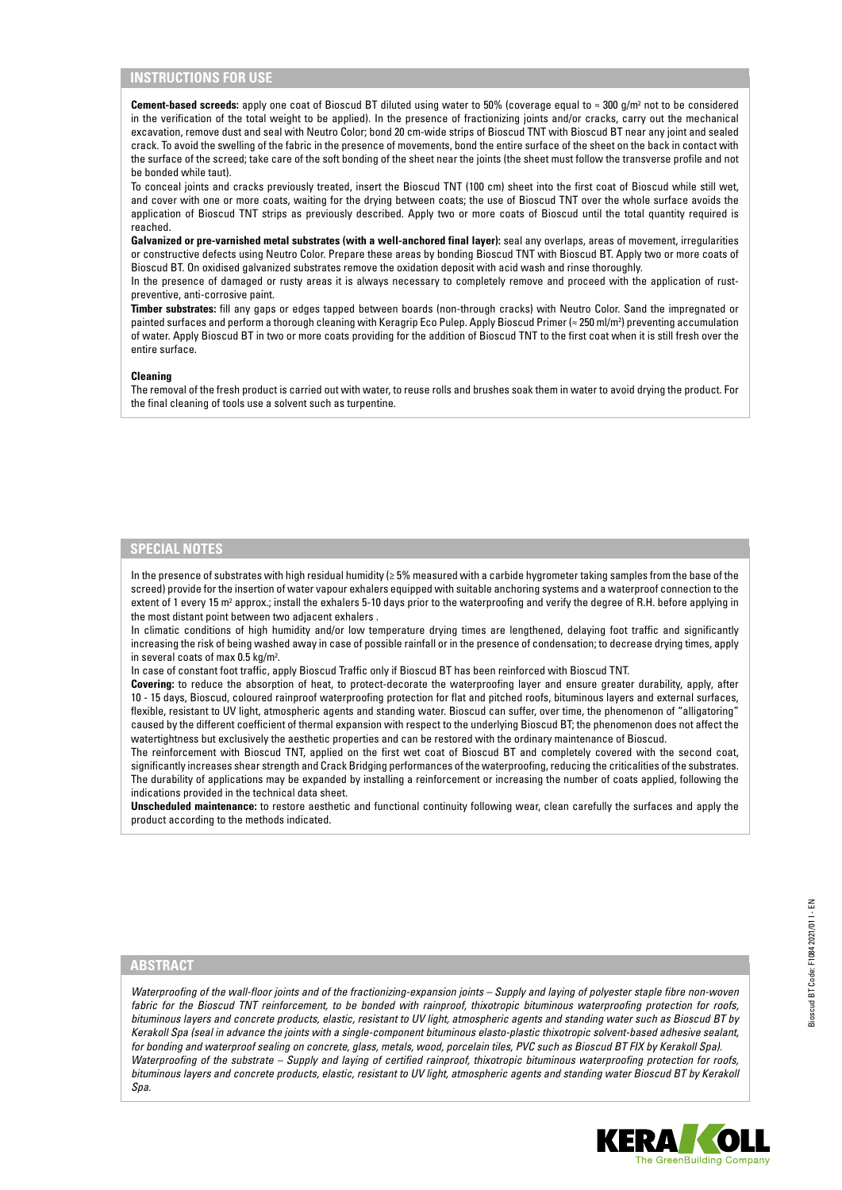## **INSTRUCTIONS FOR USE**

**Cement-based screeds:** apply one coat of Bioscud BT diluted using water to 50% (coverage equal to ≈ 300 g/m<sup>2</sup> not to be considered in the verification of the total weight to be applied). In the presence of fractionizing joints and/or cracks, carry out the mechanical excavation, remove dust and seal with Neutro Color; bond 20 cm-wide strips of Bioscud TNT with Bioscud BT near any joint and sealed crack. To avoid the swelling of the fabric in the presence of movements, bond the entire surface of the sheet on the back in contact with the surface of the screed; take care of the soft bonding of the sheet near the joints (the sheet must follow the transverse profile and not be bonded while taut).

To conceal joints and cracks previously treated, insert the Bioscud TNT (100 cm) sheet into the first coat of Bioscud while still wet, and cover with one or more coats, waiting for the drying between coats; the use of Bioscud TNT over the whole surface avoids the application of Bioscud TNT strips as previously described. Apply two or more coats of Bioscud until the total quantity required is reached.

Galvanized or pre-varnished metal substrates (with a well-anchored final layer): seal any overlaps, areas of movement, irregularities or constructive defects using Neutro Color. Prepare these areas by bonding Bioscud TNT with Bioscud BT. Apply two or more coats of Bioscud BT. On oxidised galvanized substrates remove the oxidation deposit with acid wash and rinse thoroughly.

In the presence of damaged or rusty areas it is always necessary to completely remove and proceed with the application of rustpreventive, anti-corrosive paint.

**Timber substrates:** fill any gaps or edges tapped between boards (non-through cracks) with Neutro Color. Sand the impregnated or painted surfaces and perform a thorough cleaning with Keragrip Eco Pulep. Apply Bioscud Primer (≈ 250 ml/m2 ) preventing accumulation of water. Apply Bioscud BT in two or more coats providing for the addition of Bioscud TNT to the first coat when it is still fresh over the entire surface.

#### **Cleaning**

The removal of the fresh product is carried out with water, to reuse rolls and brushes soak them in water to avoid drying the product. For the final cleaning of tools use a solvent such as turpentine.

# **SPECIAL NOTES**

In the presence of substrates with high residual humidity (≥ 5% measured with a carbide hygrometer taking samples from the base of the screed) provide for the insertion of water vapour exhalers equipped with suitable anchoring systems and a waterproof connection to the extent of 1 every 15 m<sup>2</sup> approx.; install the exhalers 5-10 days prior to the waterproofing and verify the degree of R.H. before applying in the most distant point between two adjacent exhalers .

In climatic conditions of high humidity and/or low temperature drying times are lengthened, delaying foot traffic and significantly increasing the risk of being washed away in case of possible rainfall or in the presence of condensation; to decrease drying times, apply in several coats of max 0.5 kg/m<sup>2</sup>.

In case of constant foot traffic, apply Bioscud Traffic only if Bioscud BT has been reinforced with Bioscud TNT.

**Covering:** to reduce the absorption of heat, to protect-decorate the waterproofing layer and ensure greater durability, apply, after 10 - 15 days, Bioscud, coloured rainproof waterproofing protection for flat and pitched roofs, bituminous layers and external surfaces, flexible, resistant to UV light, atmospheric agents and standing water. Bioscud can suffer, over time, the phenomenon of "alligatoring" caused by the different coefficient of thermal expansion with respect to the underlying Bioscud BT; the phenomenon does not affect the watertightness but exclusively the aesthetic properties and can be restored with the ordinary maintenance of Bioscud.

The reinforcement with Bioscud TNT, applied on the first wet coat of Bioscud BT and completely covered with the second coat, significantly increases shear strength and Crack Bridging performances of the waterproofing, reducing the criticalities of the substrates. The durability of applications may be expanded by installing a reinforcement or increasing the number of coats applied, following the indications provided in the technical data sheet.

**Unscheduled maintenance:** to restore aesthetic and functional continuity following wear, clean carefully the surfaces and apply the product according to the methods indicated.

### **ABSTRACT**

*Waterproofing of the wall-floor joints and of the fractionizing-expansion joints – Supply and laying of polyester staple fibre non-woven fabric for the Bioscud TNT reinforcement, to be bonded with rainproof, thixotropic bituminous waterproofing protection for roofs, bituminous layers and concrete products, elastic, resistant to UV light, atmospheric agents and standing water such as Bioscud BT by Kerakoll Spa (seal in advance the joints with a single-component bituminous elasto-plastic thixotropic solvent-based adhesive sealant, for bonding and waterproof sealing on concrete, glass, metals, wood, porcelain tiles, PVC such as Bioscud BT FIX by Kerakoll Spa). Waterproofing of the substrate – Supply and laying of certified rainproof, thixotropic bituminous waterproofing protection for roofs, bituminous layers and concrete products, elastic, resistant to UV light, atmospheric agents and standing water Bioscud BT by Kerakoll Spa.*